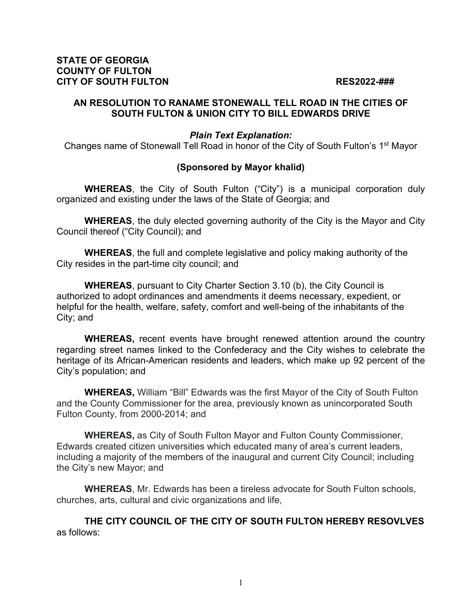### **STATE OF GEORGIA COUNTY OF FULTON CITY OF SOUTH FULTON RES2022-###**

### **AN RESOLUTION TO RANAME STONEWALL TELL ROAD IN THE CITIES OF SOUTH FULTON & UNION CITY TO BILL EDWARDS DRIVE**

## *Plain Text Explanation:*

Changes name of Stonewall Tell Road in honor of the City of South Fulton's 1st Mayor

# **(Sponsored by Mayor khalid)**

**WHEREAS**, the City of South Fulton ("City") is a municipal corporation duly organized and existing under the laws of the State of Georgia; and

**WHEREAS**, the duly elected governing authority of the City is the Mayor and City Council thereof ("City Council); and

**WHEREAS**, the full and complete legislative and policy making authority of the City resides in the part-time city council; and

**WHEREAS**, pursuant to City Charter Section 3.10 (b), the City Council is authorized to adopt ordinances and amendments it deems necessary, expedient, or helpful for the health, welfare, safety, comfort and well-being of the inhabitants of the City; and

**WHEREAS,** recent events have brought renewed attention around the country regarding street names linked to the Confederacy and the City wishes to celebrate the heritage of its African-American residents and leaders, which make up 92 percent of the City's population; and

**WHEREAS,** William "Bill" Edwards was the first Mayor of the City of South Fulton and the County Commissioner for the area, previously known as unincorporated South Fulton County, from 2000-2014; and

**WHEREAS,** as City of South Fulton Mayor and Fulton County Commissioner, Edwards created citizen universities which educated many of area's current leaders, including a majority of the members of the inaugural and current City Council; including the City's new Mayor; and

**WHEREAS**, Mr. Edwards has been a tireless advocate for South Fulton schools, churches, arts, cultural and civic organizations and life,

**THE CITY COUNCIL OF THE CITY OF SOUTH FULTON HEREBY RESOVLVES**  as follows: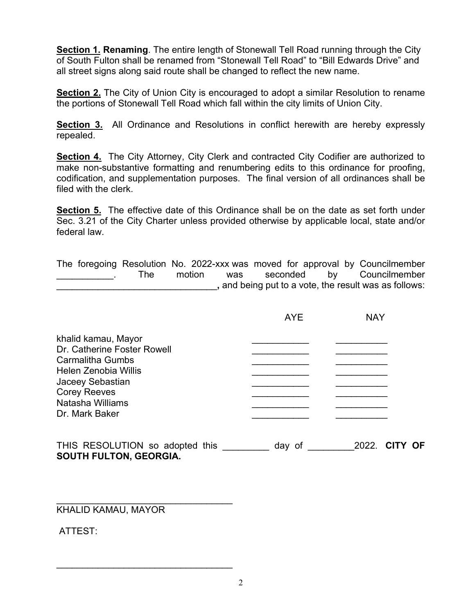**Section 1. Renaming**. The entire length of Stonewall Tell Road running through the City of South Fulton shall be renamed from "Stonewall Tell Road" to "Bill Edwards Drive" and all street signs along said route shall be changed to reflect the new name.

**Section 2.** The City of Union City is encouraged to adopt a similar Resolution to rename the portions of Stonewall Tell Road which fall within the city limits of Union City.

**Section 3.** All Ordinance and Resolutions in conflict herewith are hereby expressly repealed.

**Section 4.** The City Attorney, City Clerk and contracted City Codifier are authorized to make non-substantive formatting and renumbering edits to this ordinance for proofing, codification, and supplementation purposes. The final version of all ordinances shall be filed with the clerk.

**Section 5.** The effective date of this Ordinance shall be on the date as set forth under Sec. 3.21 of the City Charter unless provided otherwise by applicable local, state and/or federal law.

The foregoing Resolution No. 2022-xxx was moved for approval by Councilmember The motion was seconded by Councilmember \_\_\_\_\_\_\_\_\_\_\_\_\_\_\_\_\_\_\_\_\_\_\_\_\_\_\_\_\_\_\_**,** and being put to a vote, the result was as follows:

|                                                                                                                                                                                        | <b>AYE</b> | <b>NAY</b>               |
|----------------------------------------------------------------------------------------------------------------------------------------------------------------------------------------|------------|--------------------------|
| khalid kamau, Mayor<br>Dr. Catherine Foster Rowell<br><b>Carmalitha Gumbs</b><br>Helen Zenobia Willis<br>Jaceey Sebastian<br><b>Corey Reeves</b><br>Natasha Williams<br>Dr. Mark Baker |            |                          |
| THIS RESOLUTION so adopted this                                                                                                                                                        | day of     | 2022.<br>OF<br><b>CI</b> |

**SOUTH FULTON, GEORGIA.**

 $\_$  . The contribution of the contribution of  $\mathcal{L}_\mathcal{A}$ 

 $\mathcal{L}_\text{max}$  , where  $\mathcal{L}_\text{max}$  , we are the set of the set of the set of the set of the set of the set of the set of the set of the set of the set of the set of the set of the set of the set of the set of the set of

KHALID KAMAU, MAYOR

ATTEST: